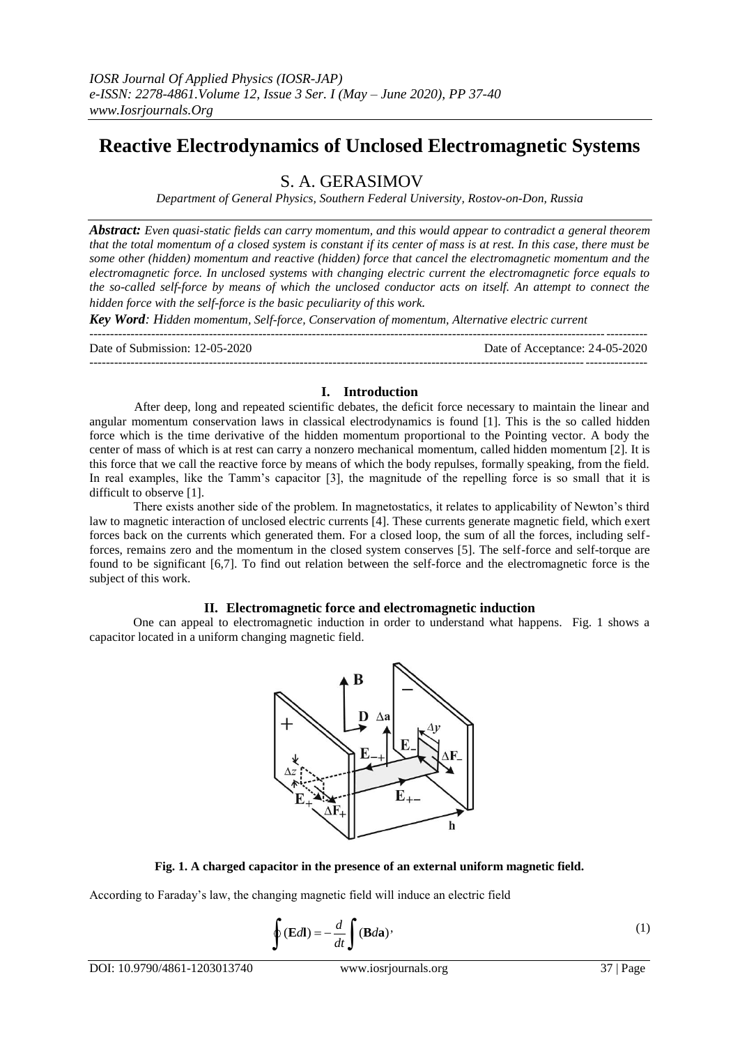# **Reactive Electrodynamics of Unclosed Electromagnetic Systems**

## S. A. GERASIMOV

*Department of General Physics, Southern Federal University, Rostov-on-Don, Russia*

*Abstract: Even quasi-static fields can carry momentum, and this would appear to contradict a general theorem that the total momentum of a closed system is constant if its center of mass is at rest. In this case, there must be some other (hidden) momentum and reactive (hidden) force that cancel the electromagnetic momentum and the electromagnetic force. In unclosed systems with changing electric current the electromagnetic force equals to the so-called self-force by means of which the unclosed conductor acts on itself. An attempt to connect the hidden force with the self-force is the basic peculiarity of this work.*

*Key Word: Hidden momentum, Self-force, Conservation of momentum, Alternative electric current*

| Date of Submission: 12-05-2020 | Date of Acceptance: 24-05-2020 |
|--------------------------------|--------------------------------|
|                                |                                |

### **I. Introduction**

After deep, long and repeated scientific debates, the deficit force necessary to maintain the linear and angular momentum conservation laws in classical electrodynamics is found [1]. This is the so called hidden force which is the time derivative of the hidden momentum proportional to the Pointing vector. A body the center of mass of which is at rest can carry a nonzero mechanical momentum, called hidden momentum [2]. It is this force that we call the reactive force by means of which the body repulses, formally speaking, from the field. In real examples, like the Tamm's capacitor [3], the magnitude of the repelling force is so small that it is difficult to observe [1].

There exists another side of the problem. In magnetostatics, it relates to applicability of Newton's third law to magnetic interaction of unclosed electric currents [4]. These currents generate magnetic field, which exert forces back on the currents which generated them. For a closed loop, the sum of all the forces, including selfforces, remains zero and the momentum in the closed system conserves [5]. The self-force and self-torque are found to be significant [6,7]. To find out relation between the self-force and the electromagnetic force is the subject of this work.

#### **II. Electromagnetic force and electromagnetic induction**

One can appeal to electromagnetic induction in order to understand what happens. Fig. 1 shows a capacitor located in a uniform changing magnetic field.



#### **Fig. 1. A charged capacitor in the presence of an external uniform magnetic field.**

According to Faraday's law, the changing magnetic field will induce an electric field

$$
\oint (\mathbf{E}d\mathbf{l}) = -\frac{d}{dt} \int (\mathbf{B}d\mathbf{a})'
$$
\n(1)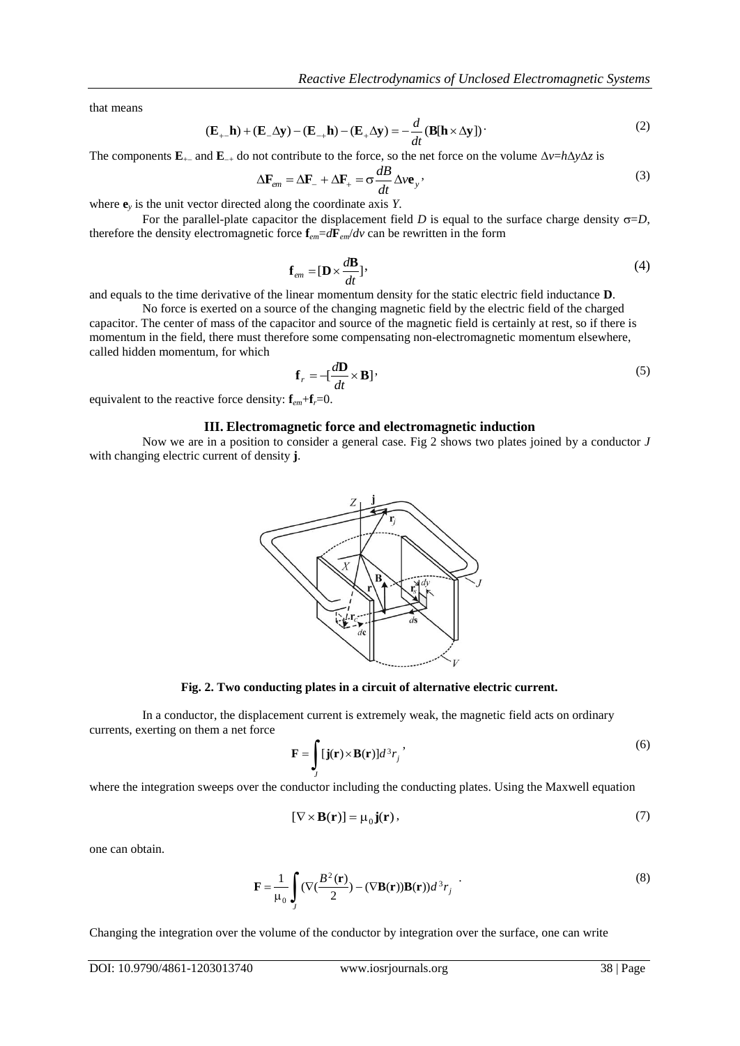that means

$$
(\mathbf{E}_{+-}\mathbf{h}) + (\mathbf{E}_{-}\Delta \mathbf{y}) - (\mathbf{E}_{-+}\mathbf{h}) - (\mathbf{E}_{+}\Delta \mathbf{y}) = -\frac{d}{dt}(\mathbf{B}[\mathbf{h} \times \Delta \mathbf{y}])
$$
 (2)

The components  $\mathbf{E}_{+}$  and  $\mathbf{E}_{-+}$  do not contribute to the force, so the net force on the volume  $\Delta v = h \Delta y \Delta z$  is

$$
\Delta \mathbf{F}_{em} = \Delta \mathbf{F}_{-} + \Delta \mathbf{F}_{+} = \sigma \frac{dB}{dt} \Delta v \mathbf{e}_{y}, \qquad (3)
$$

where  $\mathbf{e}_y$  is the unit vector directed along the coordinate axis *Y*.

For the parallel-plate capacitor the displacement field *D* is equal to the surface charge density  $\sigma = D$ , therefore the density electromagnetic force  $\mathbf{f}_{em} = d\mathbf{F}_{em}/dv$  can be rewritten in the form

$$
\mathbf{f}_{em} = [\mathbf{D} \times \frac{d\mathbf{B}}{dt}].
$$
\n(4)

and equals to the time derivative of the linear momentum density for the static electric field inductance **D**.

No force is exerted on a source of the changing magnetic field by the electric field of the charged capacitor. The center of mass of the capacitor and source of the magnetic field is certainly at rest, so if there is momentum in the field, there must therefore some compensating non-electromagnetic momentum elsewhere, called hidden momentum, for which

$$
\mathbf{f}_r = -[\frac{d\mathbf{D}}{dt} \times \mathbf{B}]
$$
\n(5)

equivalent to the reactive force density:  $\mathbf{f}_{em} + \mathbf{f}_{r} = 0$ .

#### **III. Electromagnetic force and electromagnetic induction**

Now we are in a position to consider a general case. Fig 2 shows two plates joined by a conductor *J* with changing electric current of density **j**.



**Fig. 2. Two conducting plates in a circuit of alternative electric current.**

In a conductor, the displacement current is extremely weak, the magnetic field acts on ordinary currents, exerting on them a net force

$$
\mathbf{F} = \int_{J} [\mathbf{j}(\mathbf{r}) \times \mathbf{B}(\mathbf{r})] d^3 r_j \tag{6}
$$

where the integration sweeps over the conductor including the conducting plates. Using the Maxwell equation

$$
[\nabla \times \mathbf{B}(\mathbf{r})] = \mu_0 \mathbf{j}(\mathbf{r}),\tag{7}
$$

one can obtain.

$$
\mathbf{F} = \frac{1}{\mu_0} \int_J (\nabla (\frac{B^2(\mathbf{r})}{2}) - (\nabla \mathbf{B}(\mathbf{r})) \mathbf{B}(\mathbf{r})) d^3 r_j
$$
 (8)

Changing the integration over the volume of the conductor by integration over the surface, one can write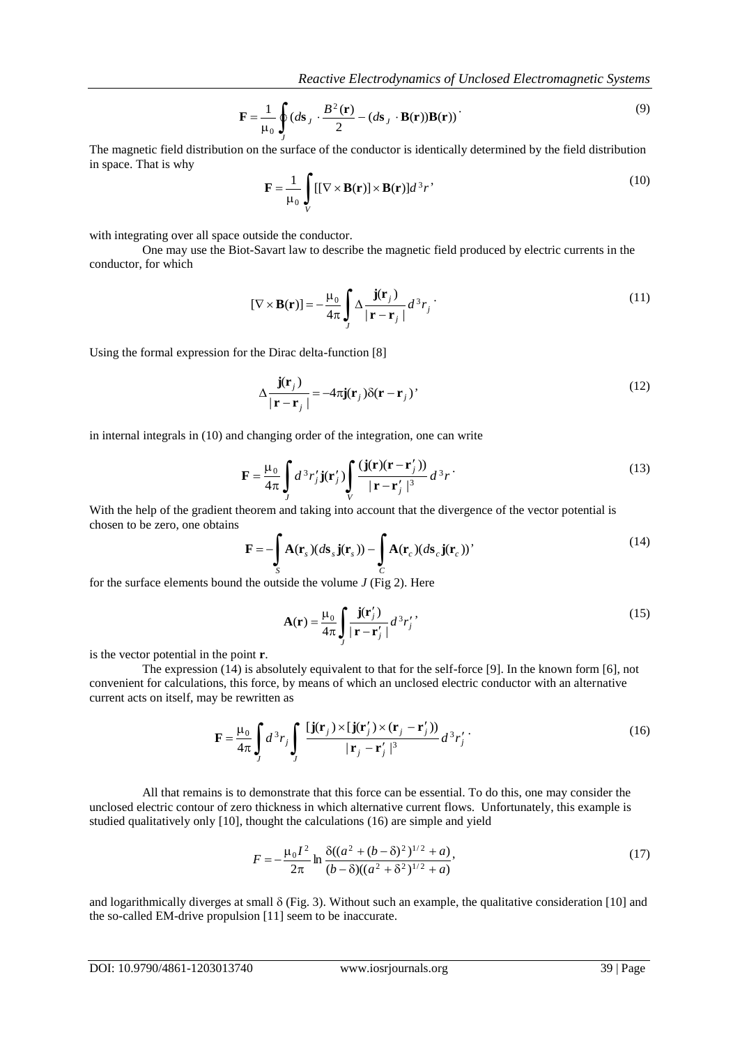$$
\mathbf{F} = \frac{1}{\mu_0} \oint_J (d\mathbf{s}_J \cdot \frac{B^2(\mathbf{r})}{2} - (d\mathbf{s}_J \cdot \mathbf{B}(\mathbf{r})) \mathbf{B}(\mathbf{r}))
$$
\n(9)

The magnetic field distribution on the surface of the conductor is identically determined by the field distribution in space. That is why

$$
\mathbf{F} = \frac{1}{\mu_0} \int_{V} [[\nabla \times \mathbf{B}(\mathbf{r})] \times \mathbf{B}(\mathbf{r})] d^3 r' \tag{10}
$$

with integrating over all space outside the conductor.

One may use the Biot-Savart law to describe the magnetic field produced by electric currents in the conductor, for which

$$
[\nabla \times \mathbf{B}(\mathbf{r})] = -\frac{\mu_0}{4\pi} \int_{J} \Delta \frac{\mathbf{j}(\mathbf{r}_j)}{|\mathbf{r} - \mathbf{r}_j|} d^3 r_j \tag{11}
$$

Using the formal expression for the Dirac delta-function [8]

$$
\Delta \frac{\mathbf{j}(\mathbf{r}_j)}{|\mathbf{r} - \mathbf{r}_j|} = -4\pi \mathbf{j}(\mathbf{r}_j) \delta(\mathbf{r} - \mathbf{r}_j)^\dagger
$$
\n(12)

in internal integrals in (10) and changing order of the integration, one can write

$$
\mathbf{F} = \frac{\mu_0}{4\pi} \int J d^3 r'_j \mathbf{j}(\mathbf{r}'_j) \int_V \frac{(\mathbf{j}(\mathbf{r})(\mathbf{r} - \mathbf{r}'_j))}{|\mathbf{r} - \mathbf{r}'_j|^3} d^3 r \,.
$$

With the help of the gradient theorem and taking into account that the divergence of the vector potential is chosen to be zero, one obtains

$$
\mathbf{F} = -\int_{S} \mathbf{A}(\mathbf{r}_s)(d\mathbf{s}_s \mathbf{j}(\mathbf{r}_s)) - \int_{C} \mathbf{A}(\mathbf{r}_c)(d\mathbf{s}_c \mathbf{j}(\mathbf{r}_c))'
$$
(14)

for the surface elements bound the outside the volume *J* (Fig 2). Here

$$
\mathbf{A}(\mathbf{r}) = \frac{\mu_0}{4\pi} \int \limits_j \frac{\mathbf{j}(\mathbf{r}'_j)}{|\mathbf{r} - \mathbf{r}'_j|} d^3 r'_j, \tag{15}
$$

is the vector potential in the point **r**.

 $F = \frac{1}{2a_0} \int_{1/2b}^{a_0} f_{00}g_{0} + \frac{B^2(2)}{2} - (ab_0 + B^2(2))B^2(2))$ <br>
The sanguetic field distribution on the surface of the conductor is identically determined by the field distribution<br>
we have That is with increase the The expression (14) is absolutely equivalent to that for the self-force [9]. In the known form [6], not convenient for calculations, this force, by means of which an unclosed electric conductor with an alternative current acts on itself, may be rewritten as

$$
\mathbf{F} = \frac{\mu_0}{4\pi} \int_J d^3 r_j \int_J \frac{\left[\mathbf{j}(\mathbf{r}_j) \times \left[\mathbf{j}(\mathbf{r}_j') \times (\mathbf{r}_j - \mathbf{r}_j')\right)\right]}{|\mathbf{r}_j - \mathbf{r}_j'|^3} d^3 r_j' \,.
$$
 (16)

All that remains is to demonstrate that this force can be essential. To do this, one may consider the unclosed electric contour of zero thickness in which alternative current flows. Unfortunately, this example is studied qualitatively only [10], thought the calculations (16) are simple and yield

$$
F = -\frac{\mu_0 I^2}{2\pi} \ln \frac{\delta((a^2 + (b - \delta)^2)^{1/2} + a)}{(b - \delta)((a^2 + \delta^2)^{1/2} + a)},
$$
\n(17)

and logarithmically diverges at small  $\delta$  (Fig. 3). Without such an example, the qualitative consideration [10] and the so-called EM-drive propulsion [11] seem to be inaccurate.